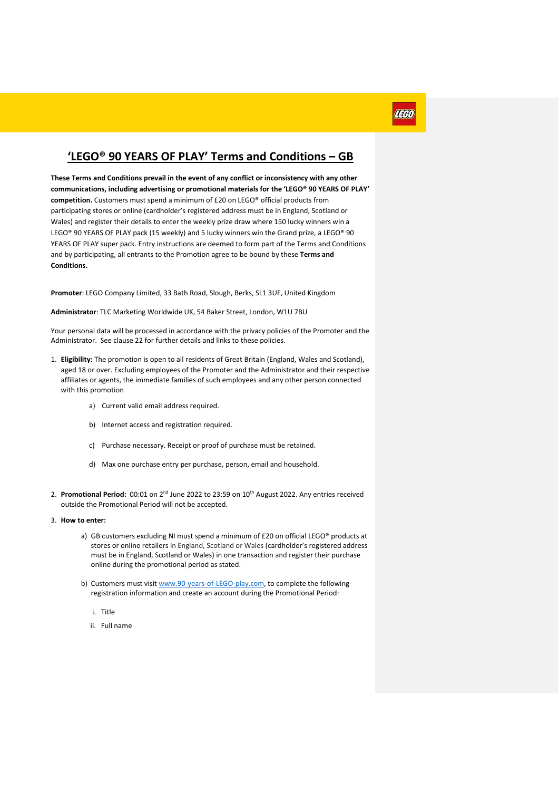### **'LEGO® 90 YEARS OF PLAY' Terms and Conditions – GB**

प्रदला

**These Terms and Conditions prevail in the event of any conflict or inconsistency with any other communications, including advertising or promotional materials for the 'LEGO® 90 YEARS OF PLAY' competition.** Customers must spend a minimum of £20 on LEGO® official products from participating stores or online (cardholder's registered address must be in England, Scotland or Wales) and register their details to enter the weekly prize draw where 150 lucky winners win a LEGO® 90 YEARS OF PLAY pack (15 weekly) and 5 lucky winners win the Grand prize, a LEGO® 90 YEARS OF PLAY super pack. Entry instructions are deemed to form part of the Terms and Conditions and by participating, all entrants to the Promotion agree to be bound by these **Terms and Conditions.**

**Promoter**: LEGO Company Limited, 33 Bath Road, Slough, Berks, SL1 3UF, United Kingdom

**Administrator**: TLC Marketing Worldwide UK, 54 Baker Street, London, W1U 7BU

Your personal data will be processed in accordance with the privacy policies of the Promoter and the Administrator. See clause 22 for further details and links to these policies.

- 1. **Eligibility:** The promotion is open to all residents of Great Britain (England, Wales and Scotland), aged 18 or over. Excluding employees of the Promoter and the Administrator and their respective affiliates or agents, the immediate families of such employees and any other person connected with this promotion
	- a) Current valid email address required.
	- b) Internet access and registration required.
	- c) Purchase necessary. Receipt or proof of purchase must be retained.
	- d) Max one purchase entry per purchase, person, email and household.
- 2. Promotional Period: 00:01 on 2<sup>nd</sup> June 2022 to 23:59 on 10<sup>th</sup> August 2022. Any entries received outside the Promotional Period will not be accepted.
- 3. **How to enter:**
	- a) GB customers excluding NI must spend a minimum of £20 on official LEGO® products at stores or online retailers in England, Scotland or Wales (cardholder's registered address must be in England, Scotland or Wales) in one transaction and register their purchase online during the promotional period as stated.
	- b) Customers must visit [www.90-years-of-LEGO-play.com,](http://www.90-years-of-lego-play.com/) to complete the following registration information and create an account during the Promotional Period:
		- i. Title
		- ii. Full name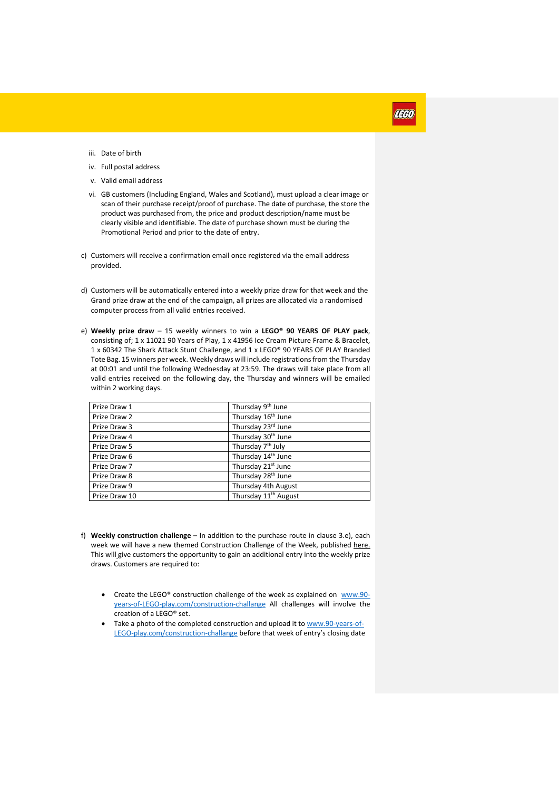## aaan

- iii. Date of birth
- iv. Full postal address
- v. Valid email address
- vi. GB customers (Including England, Wales and Scotland), must upload a clear image or scan of their purchase receipt/proof of purchase. The date of purchase, the store the product was purchased from, the price and product description/name must be clearly visible and identifiable. The date of purchase shown must be during the Promotional Period and prior to the date of entry.
- c) Customers will receive a confirmation email once registered via the email address provided.
- d) Customers will be automatically entered into a weekly prize draw for that week and the Grand prize draw at the end of the campaign, all prizes are allocated via a randomised computer process from all valid entries received.
- e) **Weekly prize draw** 15 weekly winners to win a **LEGO® 90 YEARS OF PLAY pack**, consisting of; 1 x 11021 90 Years of Play, 1 x 41956 Ice Cream Picture Frame & Bracelet, 1 x 60342 The Shark Attack Stunt Challenge, and 1 x LEGO® 90 YEARS OF PLAY Branded Tote Bag. 15 winners per week. Weekly draws will include registrations from the Thursday at 00:01 and until the following Wednesday at 23:59. The draws will take place from all valid entries received on the following day, the Thursday and winners will be emailed within 2 working days.

| Prize Draw 1  | Thursday 9 <sup>th</sup> June    |
|---------------|----------------------------------|
| Prize Draw 2  | Thursday 16 <sup>th</sup> June   |
| Prize Draw 3  | Thursday 23rd June               |
| Prize Draw 4  | Thursday 30 <sup>th</sup> June   |
| Prize Draw 5  | Thursday 7 <sup>th</sup> July    |
| Prize Draw 6  | Thursday 14 <sup>th</sup> June   |
| Prize Draw 7  | Thursday 21 <sup>st</sup> June   |
| Prize Draw 8  | Thursday 28 <sup>th</sup> June   |
| Prize Draw 9  | Thursday 4th August              |
| Prize Draw 10 | Thursday 11 <sup>th</sup> August |

- f) **Weekly construction challenge** In addition to the purchase route in clause 3.e), each week we will have a new themed Construction Challenge of the Week, published here. This will give customers the opportunity to gain an additional entry into the weekly prize draws. Customers are required to:
	- Create the LEGO® construction challenge of the week as explained on [www.90](http://www.90-years-of-lego-play.com/construction-challange) [years-of-LEGO-play.com/construction-challange](http://www.90-years-of-lego-play.com/construction-challange) All challenges will involve the creation of a LEGO® set.
	- Take a photo of the completed construction and upload it to [www.90-years-of-](http://www.90-years-of-lego-play.com/construction-challange)[LEGO-play.com/construction-challange](http://www.90-years-of-lego-play.com/construction-challange) before that week of entry's closing date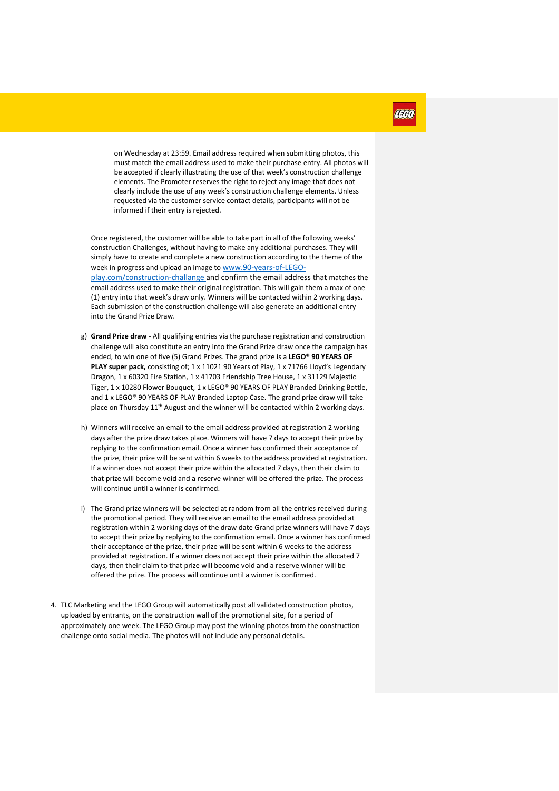on Wednesday at 23:59. Email address required when submitting photos, this must match the email address used to make their purchase entry. All photos will be accepted if clearly illustrating the use of that week's construction challenge elements. The Promoter reserves the right to reject any image that does not clearly include the use of any week's construction challenge elements. Unless requested via the customer service contact details, participants will not be informed if their entry is rejected.

Once registered, the customer will be able to take part in all of the following weeks' construction Challenges, without having to make any additional purchases. They will simply have to create and complete a new construction according to the theme of the week in progress and upload an image to [www.90-years-of-LEGO-](http://www.90-years-of-lego-play.com/construction-challange)

[play.com/construction-challange](http://www.90-years-of-lego-play.com/construction-challange) and confirm the email address that matches the email address used to make their original registration. This will gain them a max of one (1) entry into that week's draw only. Winners will be contacted within 2 working days. Each submission of the construction challenge will also generate an additional entry into the Grand Prize Draw.

- g) **Grand Prize draw** All qualifying entries via the purchase registration and construction challenge will also constitute an entry into the Grand Prize draw once the campaign has ended, to win one of five (5) Grand Prizes. The grand prize is a **LEGO® 90 YEARS OF**  PLAY super pack, consisting of; 1 x 11021 90 Years of Play, 1 x 71766 Lloyd's Legendary Dragon, 1 x 60320 Fire Station, 1 x 41703 Friendship Tree House, 1 x 31129 Majestic Tiger, 1 x 10280 Flower Bouquet, 1 x LEGO® 90 YEARS OF PLAY Branded Drinking Bottle, and 1 x LEGO® 90 YEARS OF PLAY Branded Laptop Case. The grand prize draw will take place on Thursday 11<sup>th</sup> August and the winner will be contacted within 2 working days.
- h) Winners will receive an email to the email address provided at registration 2 working days after the prize draw takes place. Winners will have 7 days to accept their prize by replying to the confirmation email. Once a winner has confirmed their acceptance of the prize, their prize will be sent within 6 weeks to the address provided at registration. If a winner does not accept their prize within the allocated 7 days, then their claim to that prize will become void and a reserve winner will be offered the prize. The process will continue until a winner is confirmed.
- i) The Grand prize winners will be selected at random from all the entries received during the promotional period. They will receive an email to the email address provided at registration within 2 working days of the draw date Grand prize winners will have 7 days to accept their prize by replying to the confirmation email. Once a winner has confirmed their acceptance of the prize, their prize will be sent within 6 weeks to the address provided at registration. If a winner does not accept their prize within the allocated 7 days, then their claim to that prize will become void and a reserve winner will be offered the prize. The process will continue until a winner is confirmed.
- 4. TLC Marketing and the LEGO Group will automatically post all validated construction photos, uploaded by entrants, on the construction wall of the promotional site, for a period of approximately one week. The LEGO Group may post the winning photos from the construction challenge onto social media. The photos will not include any personal details.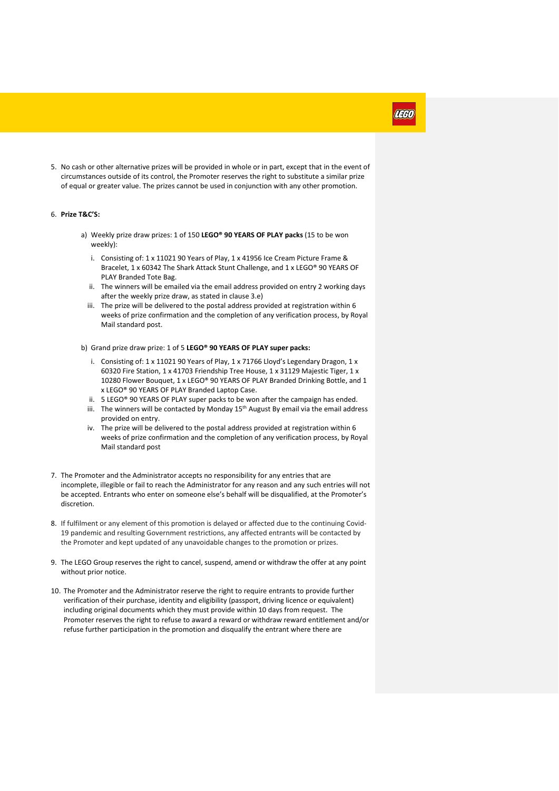5. No cash or other alternative prizes will be provided in whole or in part, except that in the event of circumstances outside of its control, the Promoter reserves the right to substitute a similar prize of equal or greater value. The prizes cannot be used in conjunction with any other promotion.

#### 6. **Prize T&C'S:**

- a) Weekly prize draw prizes: 1 of 150 **LEGO® 90 YEARS OF PLAY packs** (15 to be won weekly):
	- i. Consisting of: 1 x 11021 90 Years of Play, 1 x 41956 Ice Cream Picture Frame & Bracelet, 1 x 60342 The Shark Attack Stunt Challenge, and 1 x LEGO® 90 YEARS OF PLAY Branded Tote Bag.
	- ii. The winners will be emailed via the email address provided on entry 2 working days after the weekly prize draw, as stated in clause 3.e)
	- iii. The prize will be delivered to the postal address provided at registration within 6 weeks of prize confirmation and the completion of any verification process, by Royal Mail standard post.
- b) Grand prize draw prize: 1 of 5 **LEGO® 90 YEARS OF PLAY super packs:**
	- i. Consisting of: 1 x 11021 90 Years of Play, 1 x 71766 Lloyd's Legendary Dragon, 1 x 60320 Fire Station, 1 x 41703 Friendship Tree House, 1 x 31129 Majestic Tiger, 1 x 10280 Flower Bouquet, 1 x LEGO® 90 YEARS OF PLAY Branded Drinking Bottle, and 1 x LEGO® 90 YEARS OF PLAY Branded Laptop Case.
	- ii. 5 LEGO® 90 YEARS OF PLAY super packs to be won after the campaign has ended.
	- iii. The winners will be contacted by Monday  $15<sup>th</sup>$  August By email via the email address provided on entry.
	- iv. The prize will be delivered to the postal address provided at registration within 6 weeks of prize confirmation and the completion of any verification process, by Royal Mail standard post
- 7. The Promoter and the Administrator accepts no responsibility for any entries that are incomplete, illegible or fail to reach the Administrator for any reason and any such entries will not be accepted. Entrants who enter on someone else's behalf will be disqualified, at the Promoter's discretion.
- 8. If fulfilment or any element of this promotion is delayed or affected due to the continuing Covid-19 pandemic and resulting Government restrictions, any affected entrants will be contacted by the Promoter and kept updated of any unavoidable changes to the promotion or prizes.
- 9. The LEGO Group reserves the right to cancel, suspend, amend or withdraw the offer at any point without prior notice.
- 10. The Promoter and the Administrator reserve the right to require entrants to provide further verification of their purchase, identity and eligibility (passport, driving licence or equivalent) including original documents which they must provide within 10 days from request. The Promoter reserves the right to refuse to award a reward or withdraw reward entitlement and/or refuse further participation in the promotion and disqualify the entrant where there are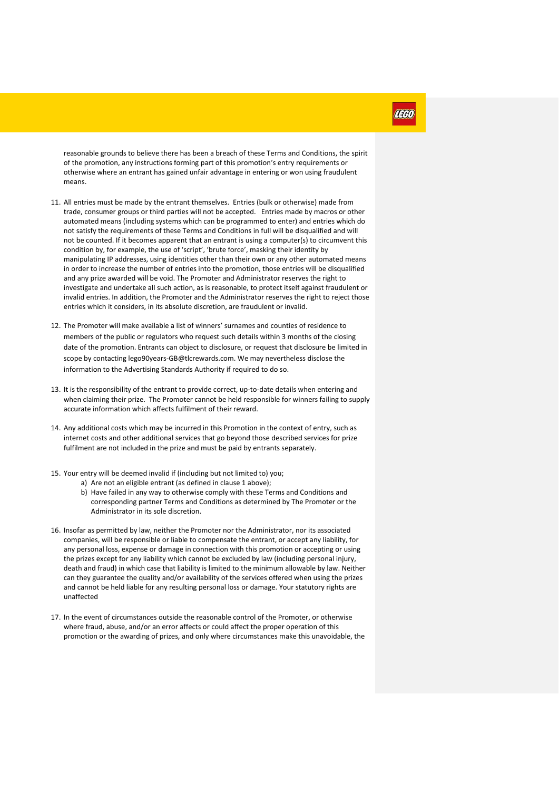reasonable grounds to believe there has been a breach of these Terms and Conditions, the spirit of the promotion, any instructions forming part of this promotion's entry requirements or otherwise where an entrant has gained unfair advantage in entering or won using fraudulent means.

- 11. All entries must be made by the entrant themselves. Entries (bulk or otherwise) made from trade, consumer groups or third parties will not be accepted. Entries made by macros or other automated means (including systems which can be programmed to enter) and entries which do not satisfy the requirements of these Terms and Conditions in full will be disqualified and will not be counted. If it becomes apparent that an entrant is using a computer(s) to circumvent this condition by, for example, the use of 'script', 'brute force', masking their identity by manipulating IP addresses, using identities other than their own or any other automated means in order to increase the number of entries into the promotion, those entries will be disqualified and any prize awarded will be void. The Promoter and Administrator reserves the right to investigate and undertake all such action, as is reasonable, to protect itself against fraudulent or invalid entries. In addition, the Promoter and the Administrator reserves the right to reject those entries which it considers, in its absolute discretion, are fraudulent or invalid.
- 12. The Promoter will make available a list of winners' surnames and counties of residence to members of the public or regulators who request such details within 3 months of the closing date of the promotion. Entrants can object to disclosure, or request that disclosure be limited in scope by contacting [lego90years-GB@tlcrewards.com.](mailto:lego90years-GB@tlcrewards.com) We may nevertheless disclose the information to the Advertising Standards Authority if required to do so.
- 13. It is the responsibility of the entrant to provide correct, up-to-date details when entering and when claiming their prize. The Promoter cannot be held responsible for winners failing to supply accurate information which affects fulfilment of their reward.
- 14. Any additional costs which may be incurred in this Promotion in the context of entry, such as internet costs and other additional services that go beyond those described services for prize fulfilment are not included in the prize and must be paid by entrants separately.
- 15. Your entry will be deemed invalid if (including but not limited to) you;
	- a) Are not an eligible entrant (as defined in clause 1 above);
		- b) Have failed in any way to otherwise comply with these Terms and Conditions and corresponding partner Terms and Conditions as determined by The Promoter or the Administrator in its sole discretion.
- 16. Insofar as permitted by law, neither the Promoter nor the Administrator, nor its associated companies, will be responsible or liable to compensate the entrant, or accept any liability, for any personal loss, expense or damage in connection with this promotion or accepting or using the prizes except for any liability which cannot be excluded by law (including personal injury, death and fraud) in which case that liability is limited to the minimum allowable by law. Neither can they guarantee the quality and/or availability of the services offered when using the prizes and cannot be held liable for any resulting personal loss or damage. Your statutory rights are unaffected
- 17. In the event of circumstances outside the reasonable control of the Promoter, or otherwise where fraud, abuse, and/or an error affects or could affect the proper operation of this promotion or the awarding of prizes, and only where circumstances make this unavoidable, the